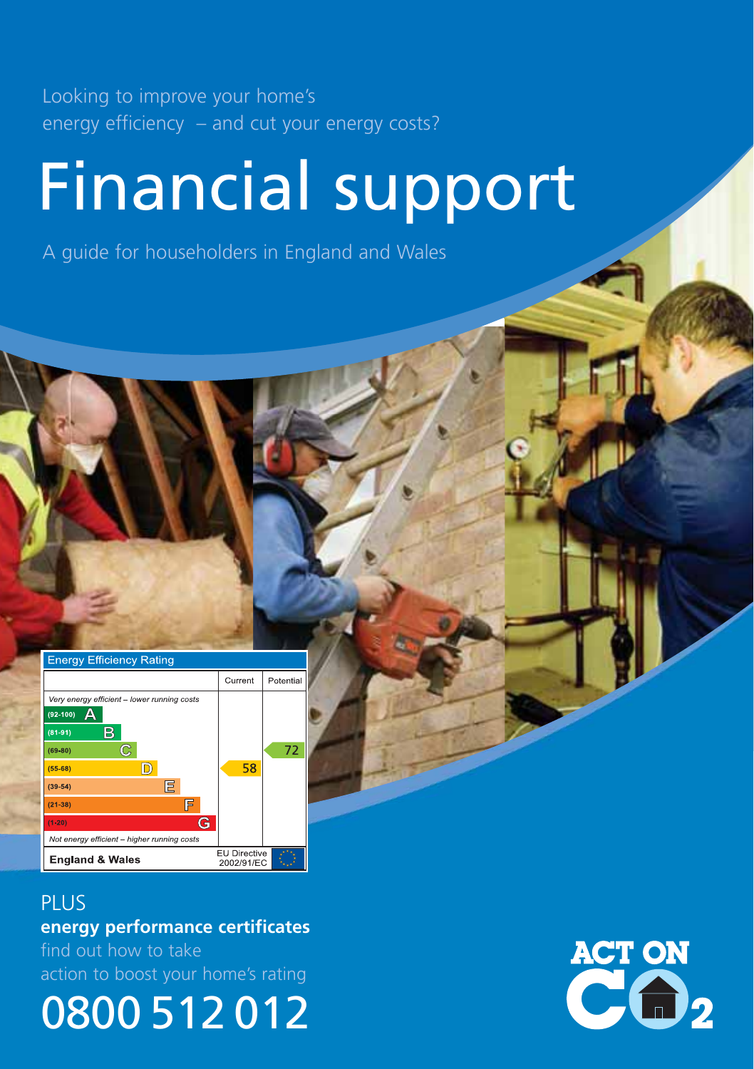Looking to improve your home's energy efficiency – and cut your energy costs?

# Financial support

A guide for householders in England and Wales



PLUS **energy performance certificates** find out how to take action to boost your home's rating

0800 512 012

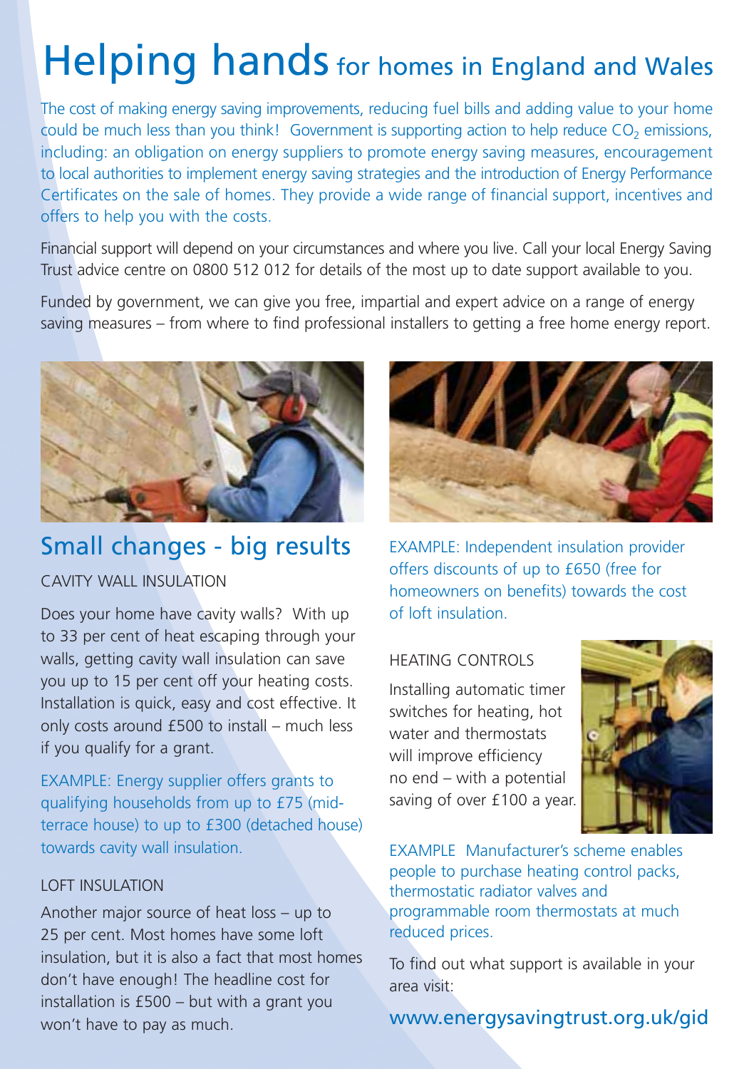## Helping hands for homes in England and Wales

The cost of making energy saving improvements, reducing fuel bills and adding value to your home could be much less than you think! Government is supporting action to help reduce CO<sub>2</sub> emissions, including: an obligation on energy suppliers to promote energy saving measures, encouragement to local authorities to implement energy saving strategies and the introduction of Energy Performance Certificates on the sale of homes. They provide a wide range of financial support, incentives and offers to help you with the costs.

Financial support will depend on your circumstances and where you live. Call your local Energy Saving Trust advice centre on 0800 512 012 for details of the most up to date support available to you.

Funded by government, we can give you free, impartial and expert advice on a range of energy saving measures – from where to find professional installers to getting a free home energy report.



## Small changes - big results

### CAVITY WALL INSULATION

Does your home have cavity walls? With up to 33 per cent of heat escaping through your walls, getting cavity wall insulation can save you up to 15 per cent off your heating costs. Installation is quick, easy and cost effective. It only costs around £500 to install – much less if you qualify for a grant.

EXAMPLE: Energy supplier offers grants to qualifying households from up to £75 (midterrace house) to up to £300 (detached house) towards cavity wall insulation.

#### LOFT INSULATION

Another major source of heat loss – up to 25 per cent. Most homes have some loft insulation, but it is also a fact that most homes don't have enough! The headline cost for installation is £500 – but with a grant you won't have to pay as much.



EXAMPLE: Independent insulation provider offers discounts of up to £650 (free for homeowners on benefits) towards the cost of loft insulation.

#### HEATING CONTROLS

Installing automatic timer switches for heating, hot water and thermostats will improve efficiency no end – with a potential saving of over £100 a year.



EXAMPLE Manufacturer's scheme enables people to purchase heating control packs, thermostatic radiator valves and programmable room thermostats at much reduced prices.

To find out what support is available in your area visit:

## www.energysavingtrust.org.uk/gid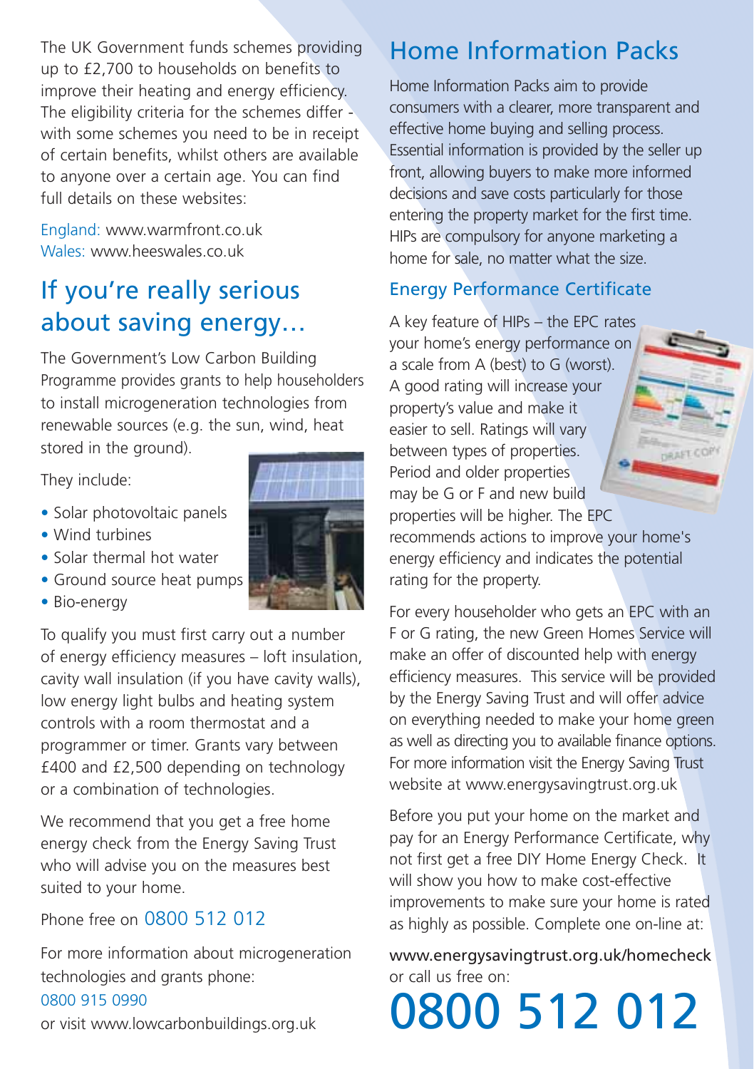The UK Government funds schemes providing up to £2,700 to households on benefits to improve their heating and energy efficiency. The eligibility criteria for the schemes differ with some schemes you need to be in receipt of certain benefits, whilst others are available to anyone over a certain age. You can find full details on these websites:

England: www.warmfront.co.uk Wales: www.heeswales.co.uk

## If you're really serious about saving energy…

The Government's Low Carbon Building Programme provides grants to help householders to install microgeneration technologies from renewable sources (e.g. the sun, wind, heat stored in the ground).

They include:

- Solar photovoltaic panels
- Wind turbines
- Solar thermal hot water
- Ground source heat pumps
- Bio-energy

To qualify you must first carry out a number of energy efficiency measures – loft insulation, cavity wall insulation (if you have cavity walls), low energy light bulbs and heating system controls with a room thermostat and a programmer or timer. Grants vary between £400 and £2,500 depending on technology or a combination of technologies.

We recommend that you get a free home energy check from the Energy Saving Trust who will advise you on the measures best suited to your home.

Phone free on 0800 512 012

For more information about microgeneration technologies and grants phone: 0800 915 0990

or visit www.lowcarbonbuildings.org.uk

## Home Information Packs

Home Information Packs aim to provide consumers with a clearer, more transparent and effective home buying and selling process. Essential information is provided by the seller up front, allowing buyers to make more informed decisions and save costs particularly for those entering the property market for the first time. HIPs are compulsory for anyone marketing a home for sale, no matter what the size.

## Energy Performance Certificate

A key feature of HIPs – the EPC rates your home's energy performance on a scale from A (best) to G (worst). A good rating will increase your property's value and make it easier to sell. Ratings will vary between types of properties. Period and older properties may be G or F and new build properties will be higher. The EPC

recommends actions to improve your home's energy efficiency and indicates the potential rating for the property.

**PAST-CO** 

For every householder who gets an EPC with an F or G rating, the new Green Homes Service will make an offer of discounted help with energy efficiency measures. This service will be provided by the Energy Saving Trust and will offer advice on everything needed to make your home green as well as directing you to available finance options. For more information visit the Energy Saving Trust website at www.energysavingtrust.org.uk

Before you put your home on the market and pay for an Energy Performance Certificate, why not first get a free DIY Home Energy Check. It will show you how to make cost-effective improvements to make sure your home is rated as highly as possible. Complete one on-line at:

www.energysavingtrust.org.uk/homecheck or call us free on:

0800 512 012